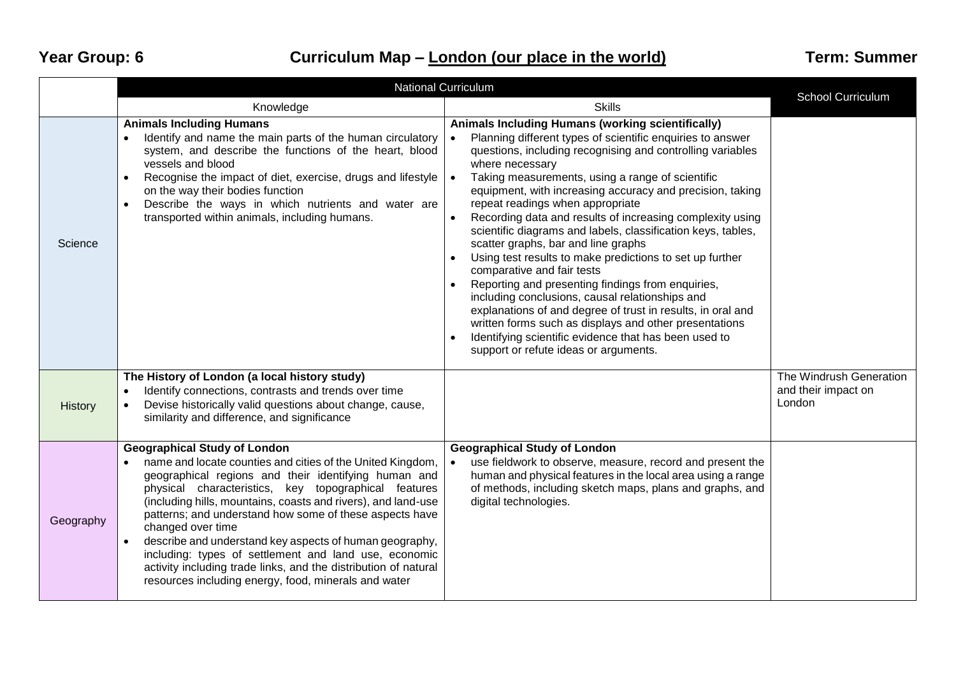## Year Group: 6 **Curriculum Map –** *London (our place in the world)* **Term: Summer**

|           | <b>National Curriculum</b>                                                                                                                                                                                                                                                                                                                                                                                                                                                                                                                                                                                                     | <b>School Curriculum</b>                                                                                                                                                                                                                                                                                                                                                                                                                                                                                                                                                                                                                                                                                                                                                                                                                                                                                                                                            |                                                          |
|-----------|--------------------------------------------------------------------------------------------------------------------------------------------------------------------------------------------------------------------------------------------------------------------------------------------------------------------------------------------------------------------------------------------------------------------------------------------------------------------------------------------------------------------------------------------------------------------------------------------------------------------------------|---------------------------------------------------------------------------------------------------------------------------------------------------------------------------------------------------------------------------------------------------------------------------------------------------------------------------------------------------------------------------------------------------------------------------------------------------------------------------------------------------------------------------------------------------------------------------------------------------------------------------------------------------------------------------------------------------------------------------------------------------------------------------------------------------------------------------------------------------------------------------------------------------------------------------------------------------------------------|----------------------------------------------------------|
|           | Knowledge                                                                                                                                                                                                                                                                                                                                                                                                                                                                                                                                                                                                                      | <b>Skills</b>                                                                                                                                                                                                                                                                                                                                                                                                                                                                                                                                                                                                                                                                                                                                                                                                                                                                                                                                                       |                                                          |
| Science   | <b>Animals Including Humans</b><br>Identify and name the main parts of the human circulatory<br>$\bullet$<br>system, and describe the functions of the heart, blood<br>vessels and blood<br>Recognise the impact of diet, exercise, drugs and lifestyle<br>$\bullet$<br>on the way their bodies function<br>Describe the ways in which nutrients and water are<br>$\bullet$<br>transported within animals, including humans.                                                                                                                                                                                                   | Animals Including Humans (working scientifically)<br>Planning different types of scientific enquiries to answer<br>questions, including recognising and controlling variables<br>where necessary<br>Taking measurements, using a range of scientific<br>equipment, with increasing accuracy and precision, taking<br>repeat readings when appropriate<br>Recording data and results of increasing complexity using<br>scientific diagrams and labels, classification keys, tables,<br>scatter graphs, bar and line graphs<br>Using test results to make predictions to set up further<br>comparative and fair tests<br>Reporting and presenting findings from enquiries,<br>including conclusions, causal relationships and<br>explanations of and degree of trust in results, in oral and<br>written forms such as displays and other presentations<br>Identifying scientific evidence that has been used to<br>$\bullet$<br>support or refute ideas or arguments. |                                                          |
| History   | The History of London (a local history study)<br>Identify connections, contrasts and trends over time<br>$\bullet$<br>Devise historically valid questions about change, cause,<br>$\bullet$<br>similarity and difference, and significance                                                                                                                                                                                                                                                                                                                                                                                     |                                                                                                                                                                                                                                                                                                                                                                                                                                                                                                                                                                                                                                                                                                                                                                                                                                                                                                                                                                     | The Windrush Generation<br>and their impact on<br>London |
| Geography | <b>Geographical Study of London</b><br>name and locate counties and cities of the United Kingdom,<br>geographical regions and their identifying human and<br>physical characteristics, key topographical features<br>(including hills, mountains, coasts and rivers), and land-use<br>patterns; and understand how some of these aspects have<br>changed over time<br>describe and understand key aspects of human geography,<br>$\bullet$<br>including: types of settlement and land use, economic<br>activity including trade links, and the distribution of natural<br>resources including energy, food, minerals and water | <b>Geographical Study of London</b><br>use fieldwork to observe, measure, record and present the<br>human and physical features in the local area using a range<br>of methods, including sketch maps, plans and graphs, and<br>digital technologies.                                                                                                                                                                                                                                                                                                                                                                                                                                                                                                                                                                                                                                                                                                                |                                                          |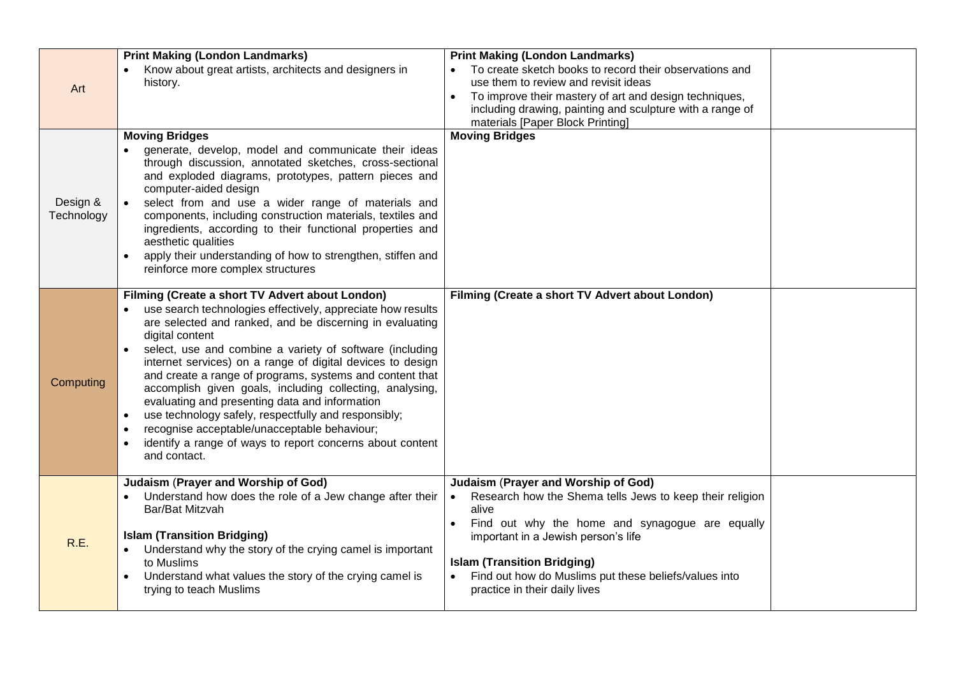| Art                    | <b>Print Making (London Landmarks)</b><br>Know about great artists, architects and designers in<br>history.                                                                                                                                                                                                                                                                                                                                                                                                                                                                                                                                                                                                      | <b>Print Making (London Landmarks)</b><br>To create sketch books to record their observations and<br>use them to review and revisit ideas<br>To improve their mastery of art and design techniques,<br>including drawing, painting and sculpture with a range of                                                                          |  |
|------------------------|------------------------------------------------------------------------------------------------------------------------------------------------------------------------------------------------------------------------------------------------------------------------------------------------------------------------------------------------------------------------------------------------------------------------------------------------------------------------------------------------------------------------------------------------------------------------------------------------------------------------------------------------------------------------------------------------------------------|-------------------------------------------------------------------------------------------------------------------------------------------------------------------------------------------------------------------------------------------------------------------------------------------------------------------------------------------|--|
| Design &<br>Technology | <b>Moving Bridges</b><br>generate, develop, model and communicate their ideas<br>through discussion, annotated sketches, cross-sectional<br>and exploded diagrams, prototypes, pattern pieces and<br>computer-aided design<br>select from and use a wider range of materials and<br>components, including construction materials, textiles and<br>ingredients, according to their functional properties and<br>aesthetic qualities<br>apply their understanding of how to strengthen, stiffen and<br>reinforce more complex structures                                                                                                                                                                           | materials [Paper Block Printing]<br><b>Moving Bridges</b>                                                                                                                                                                                                                                                                                 |  |
| Computing              | Filming (Create a short TV Advert about London)<br>use search technologies effectively, appreciate how results<br>are selected and ranked, and be discerning in evaluating<br>digital content<br>select, use and combine a variety of software (including<br>internet services) on a range of digital devices to design<br>and create a range of programs, systems and content that<br>accomplish given goals, including collecting, analysing,<br>evaluating and presenting data and information<br>use technology safely, respectfully and responsibly;<br>$\bullet$<br>recognise acceptable/unacceptable behaviour;<br>identify a range of ways to report concerns about content<br>$\bullet$<br>and contact. | Filming (Create a short TV Advert about London)                                                                                                                                                                                                                                                                                           |  |
| R.E.                   | Judaism (Prayer and Worship of God)<br>Understand how does the role of a Jew change after their<br>Bar/Bat Mitzvah<br><b>Islam (Transition Bridging)</b><br>Understand why the story of the crying camel is important<br>to Muslims<br>Understand what values the story of the crying camel is<br>$\bullet$<br>trying to teach Muslims                                                                                                                                                                                                                                                                                                                                                                           | <b>Judaism (Prayer and Worship of God)</b><br>Research how the Shema tells Jews to keep their religion<br>alive<br>Find out why the home and synagogue are equally<br>important in a Jewish person's life<br><b>Islam (Transition Bridging)</b><br>Find out how do Muslims put these beliefs/values into<br>practice in their daily lives |  |